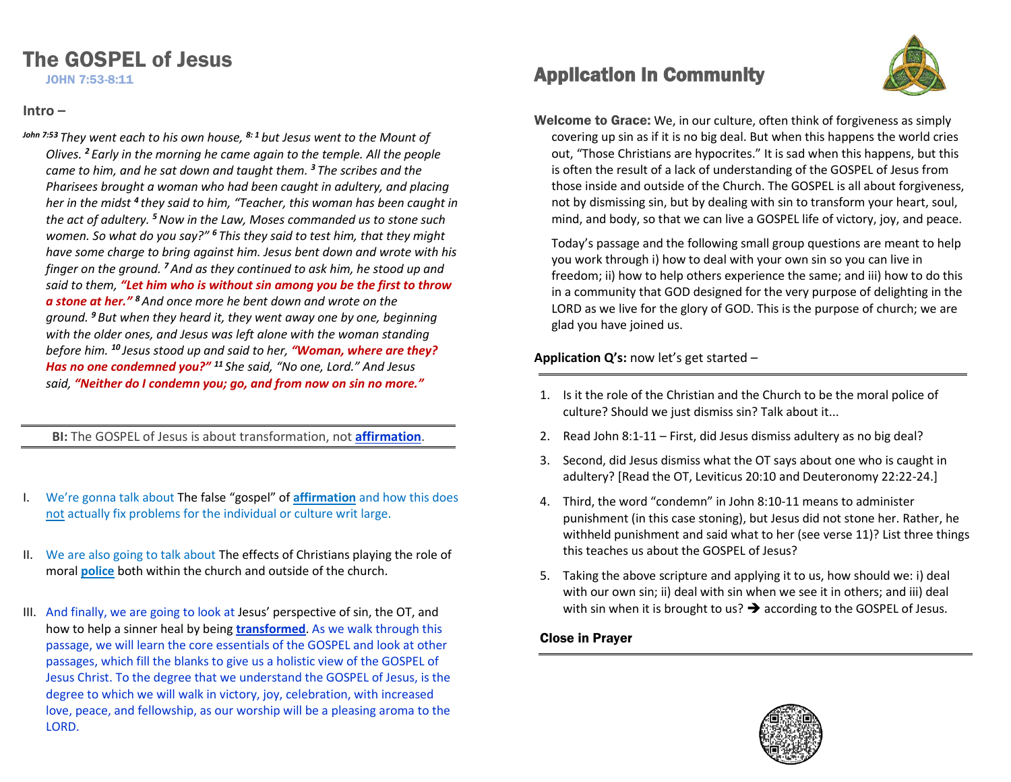# The GOSPEL of Jesus

JOHN 7:53-8:11

#### **Intro –**

*John 7:53 They went each to his own house, 8: <sup>1</sup> but Jesus went to the Mount of Olives. <sup>2</sup> Early in the morning he came again to the temple. All the people came to him, and he sat down and taught them. <sup>3</sup> The scribes and the Pharisees brought a woman who had been caught in adultery, and placing her in the midst <sup>4</sup> they said to him, "Teacher, this woman has been caught in the act of adultery. <sup>5</sup>Now in the Law, Moses commanded us to stone such women. So what do you say?" <sup>6</sup> This they said to test him, that they might have some charge to bring against him. Jesus bent down and wrote with his finger on the ground. <sup>7</sup>And as they continued to ask him, he stood up and said to them, "Let him who is without sin among you be the first to throw a stone at her." <sup>8</sup>And once more he bent down and wrote on the ground. <sup>9</sup> But when they heard it, they went away one by one, beginning with the older ones, and Jesus was left alone with the woman standing before him. <sup>10</sup> Jesus stood up and said to her, "Woman, where are they? Has no one condemned you?" <sup>11</sup> She said, "No one, Lord." And Jesus said, "Neither do I condemn you; go, and from now on sin no more."*

**BI:** The GOSPEL of Jesus is about transformation, not **affirmation**.

- I. We're gonna talk about The false "gospel" of **affirmation** and how this does not actually fix problems for the individual or culture writ large.
- II. We are also going to talk about The effects of Christians playing the role of moral **police** both within the church and outside of the church.
- III. And finally, we are going to look at Jesus' perspective of sin, the OT, and how to help a sinner heal by being **transformed**. As we walk through this passage, we will learn the core essentials of the GOSPEL and look at other passages, which fill the blanks to give us a holistic view of the GOSPEL of Jesus Christ. To the degree that we understand the GOSPEL of Jesus, is the degree to which we will walk in victory, joy, celebration, with increased love, peace, and fellowship, as our worship will be a pleasing aroma to the LORD.

## Application In Community



Welcome to Grace: We, in our culture, often think of forgiveness as simply covering up sin as if it is no big deal. But when this happens the world cries out, "Those Christians are hypocrites." It is sad when this happens, but this is often the result of a lack of understanding of the GOSPEL of Jesus from those inside and outside of the Church. The GOSPEL is all about forgiveness, not by dismissing sin, but by dealing with sin to transform your heart, soul, mind, and body, so that we can live a GOSPEL life of victory, joy, and peace.

Today's passage and the following small group questions are meant to help you work through i) how to deal with your own sin so you can live in freedom; ii) how to help others experience the same; and iii) how to do this in a community that GOD designed for the very purpose of delighting in the LORD as we live for the glory of GOD. This is the purpose of church; we are glad you have joined us.

### **Application Q's:** now let's get started –

- 1. Is it the role of the Christian and the Church to be the moral police of culture? Should we just dismiss sin? Talk about it...
- 2. Read John 8:1-11 First, did Jesus dismiss adultery as no big deal?
- 3. Second, did Jesus dismiss what the OT says about one who is caught in adultery? [Read the OT, Leviticus 20:10 and Deuteronomy 22:22-24.]
- 4. Third, the word "condemn" in John 8:10-11 means to administer punishment (in this case stoning), but Jesus did not stone her. Rather, he withheld punishment and said what to her (see verse 11)? List three things this teaches us about the GOSPEL of Jesus?
- 5. Taking the above scripture and applying it to us, how should we: i) deal with our own sin; ii) deal with sin when we see it in others; and iii) deal with sin when it is brought to us?  $\rightarrow$  according to the GOSPEL of Jesus.

### Close in Prayer